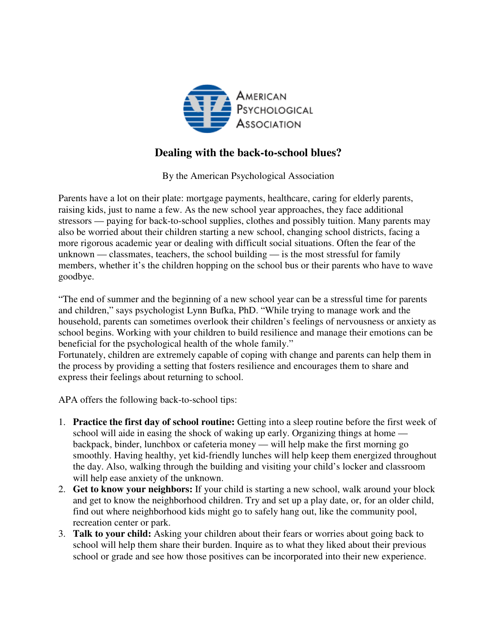

## **Dealing with the back-to-school blues?**

By the American Psychological Association

Parents have a lot on their plate: mortgage payments, healthcare, caring for elderly parents, raising kids, just to name a few. As the new school year approaches, they face additional stressors — paying for back-to-school supplies, clothes and possibly tuition. Many parents may also be worried about their children starting a new school, changing school districts, facing a more rigorous academic year or dealing with difficult social situations. Often the fear of the unknown — classmates, teachers, the school building — is the most stressful for family members, whether it's the children hopping on the school bus or their parents who have to wave goodbye.

"The end of summer and the beginning of a new school year can be a stressful time for parents and children," says psychologist Lynn Bufka, PhD. "While trying to manage work and the household, parents can sometimes overlook their children's feelings of nervousness or anxiety as school begins. Working with your children to build resilience and manage their emotions can be beneficial for the psychological health of the whole family."

Fortunately, children are extremely capable of coping with change and parents can help them in the process by providing a setting that fosters resilience and encourages them to share and express their feelings about returning to school.

APA offers the following back-to-school tips:

- 1. **Practice the first day of school routine:** Getting into a sleep routine before the first week of school will aide in easing the shock of waking up early. Organizing things at home backpack, binder, lunchbox or cafeteria money — will help make the first morning go smoothly. Having healthy, yet kid-friendly lunches will help keep them energized throughout the day. Also, walking through the building and visiting your child's locker and classroom will help ease anxiety of the unknown.
- 2. **Get to know your neighbors:** If your child is starting a new school, walk around your block and get to know the neighborhood children. Try and set up a play date, or, for an older child, find out where neighborhood kids might go to safely hang out, like the community pool, recreation center or park.
- 3. **Talk to your child:** Asking your children about their fears or worries about going back to school will help them share their burden. Inquire as to what they liked about their previous school or grade and see how those positives can be incorporated into their new experience.